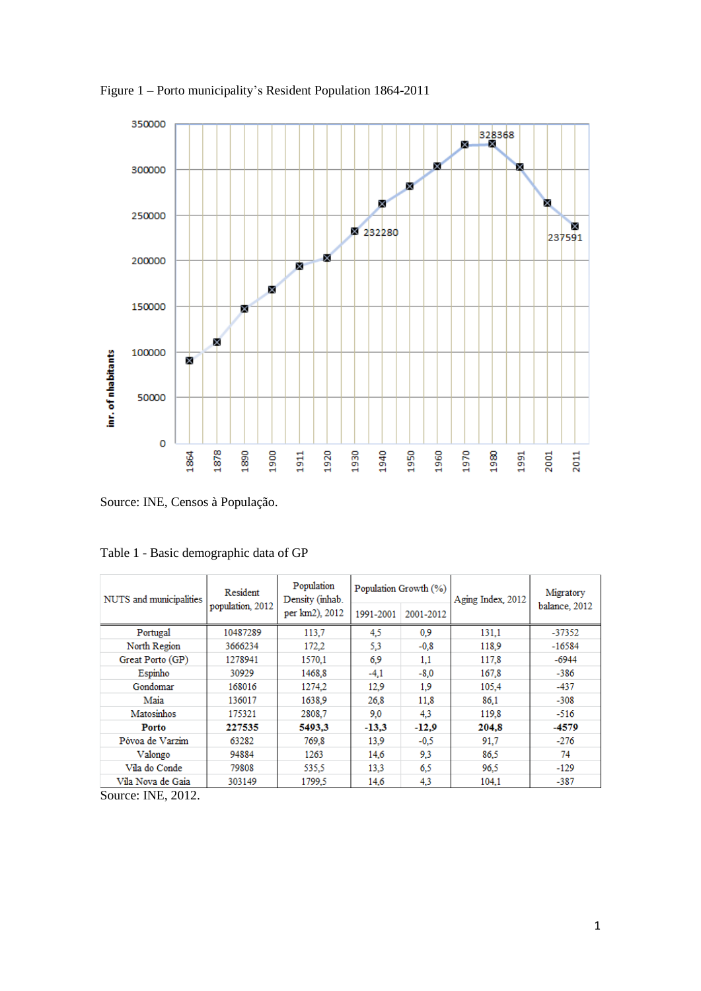

Figure 1 – Porto municipality's Resident Population 1864-2011

Source: INE, Censos à População.

| NUTS and municipalities | Resident<br>population, 2012 | Population<br>Density (inhab. |           | Population Growth (%) | Aging Index, 2012 | Migratory<br>balance, 2012 |  |
|-------------------------|------------------------------|-------------------------------|-----------|-----------------------|-------------------|----------------------------|--|
|                         |                              | per km2), 2012                | 1991-2001 | 2001-2012             |                   |                            |  |
| Portugal                | 10487289                     | 113,7                         | 4,5       | 0.9                   | 131,1             | $-37352$                   |  |
| North Region            | 3666234                      | 172.2                         | 5.3       | $-0.8$                | 118.9             | $-16584$                   |  |
| Great Porto (GP)        | 1278941                      | 1570,1                        | 6.9       | 1,1                   | 117,8             | -6944                      |  |
| Espinho                 | 30929                        | 1468.8                        | $-4,1$    | $-8.0$                | 167.8             | $-386$                     |  |
| Gondomar                | 168016                       | 1274.2                        | 12.9      | 1.9                   | 105,4             | $-437$                     |  |
| Maia                    | 136017                       | 1638.9                        | 26,8      | 11,8                  | 86,1              | $-308$                     |  |
| Matosinhos              | 175321                       | 2808.7                        | 9,0       | 4,3                   | 119.8             | $-516$                     |  |
| Porto                   | 227535                       | 5493,3                        | $-13.3$   | $-12.9$               | 204,8             | -4579                      |  |
| Póvoa de Varzim         | 63282                        | 769.8                         | 13.9      | $-0.5$                | 91,7              | $-276$                     |  |
| Valongo                 | 94884                        | 1263                          | 14,6      | 9,3                   | 86,5              | 74                         |  |
| Vila do Conde           | 79808                        | 535,5                         | 13,3      | 6.5                   | 96.5              | $-129$                     |  |
| Vila Nova de Gaia       | 303149                       | 1799,5                        | 14,6      | 4,3                   | 104,1             | $-387$                     |  |
| $\sim$<br>$\mathbf{v}$  |                              |                               |           |                       |                   |                            |  |

Table 1 - Basic demographic data of GP

Source: INE, 2012.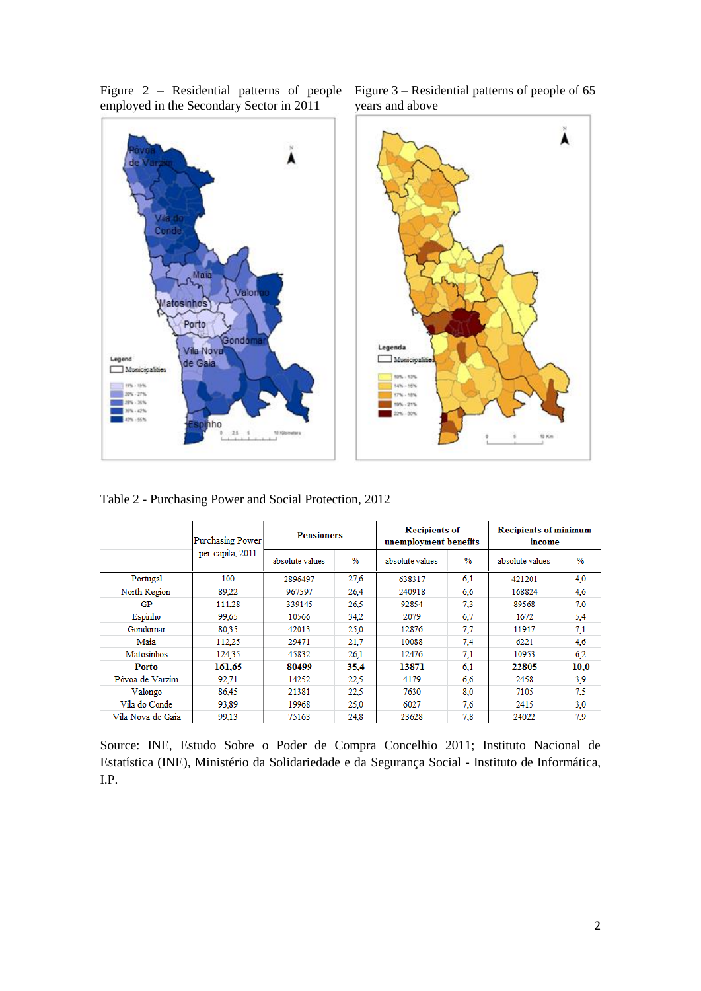Figure 2 – Residential patterns of people Figure 3 – Residential patterns of people of 65 employed in the Secondary Sector in 2011







Table 2 - Purchasing Power and Social Protection, 2012

|                   | <b>Purchasing Power</b> | <b>Pensioners</b> |               | <b>Recipients of</b><br>unemployment benefits |      | <b>Recipients of minimum</b><br>income |                   |  |
|-------------------|-------------------------|-------------------|---------------|-----------------------------------------------|------|----------------------------------------|-------------------|--|
|                   | per capita, 2011        | absolute values   | $\frac{0}{6}$ | absolute values                               | $\%$ | absolute values                        | $\%$              |  |
| Portugal          | 100                     | 2896497           | 27.6          | 638317                                        | 6.1  | 421201                                 | 4,0               |  |
| North Region      | 89.22                   | 967597            | 26.4          | 240918                                        | 6.6  | 168824<br>89568<br>1672                | 4.6<br>7.0<br>5,4 |  |
| GP                | 111.28                  | 339145            | 26.5          | 92854                                         | 7.3  |                                        |                   |  |
| Espinho           | 99,65                   | 10566             | 34.2          | 2079                                          | 6,7  |                                        |                   |  |
| Gondomar          | 80.35                   | 42013             | 25.0          | 12876                                         | 7.7  | 11917                                  | 7.1               |  |
| Maia              | 112.25                  | 29471             | 21,7          | 10088                                         | 7.4  | 6221<br>10953                          | 4,6<br>6.2        |  |
| Matosinhos        | 124,35                  | 45832             | 26,1          | 12476                                         | 7,1  |                                        |                   |  |
| Porto             | 161,65                  | 80499             | 35,4          | 13871                                         | 6.1  | 22805                                  | 10,0              |  |
| Póvoa de Varzim   | 92,71                   | 14252             | 22,5          | 4179                                          | 6.6  | 2458                                   | 3.9               |  |
| Valongo           | 86.45                   | 21381             | 22,5          | 7630                                          | 8,0  | 7105                                   | 7.5               |  |
| Vila do Conde     | 93.89                   | 19968<br>25.0     |               | 6027                                          | 7.6  | 2415                                   | 3,0               |  |
| Vila Nova de Gaia | 99,13                   | 75163<br>24.8     |               | 23628                                         | 7.8  | 24022                                  | 7.9               |  |

Source: INE, Estudo Sobre o Poder de Compra Concelhio 2011; Instituto Nacional de Estatística (INE), Ministério da Solidariedade e da Segurança Social - Instituto de Informática, I.P.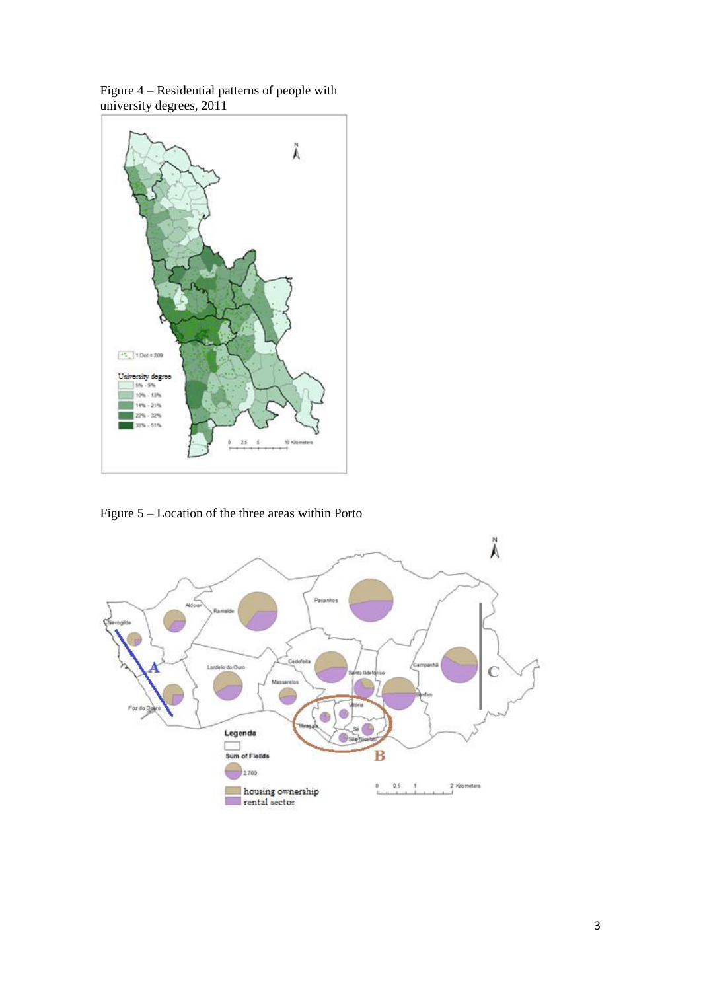



Figure 5 – Location of the three areas within Porto

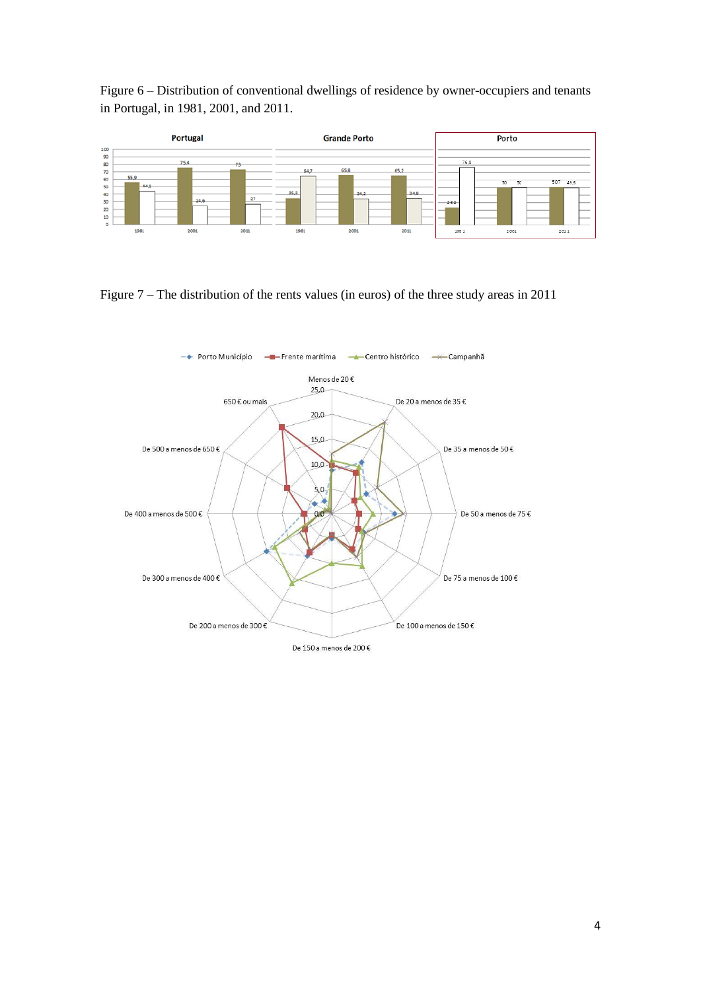Figure 6 – Distribution of conventional dwellings of residence by owner-occupiers and tenants in Portugal, in 1981, 2001, and 2011.



Figure 7 – The distribution of the rents values (in euros) of the three study areas in 2011

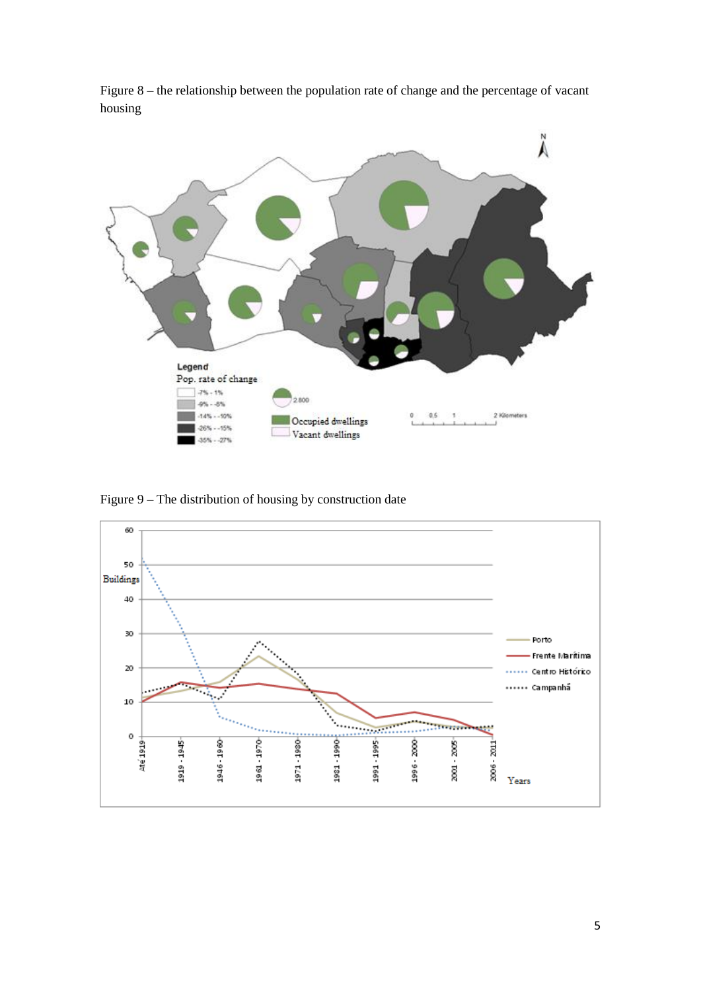

Figure 8 – the relationship between the population rate of change and the percentage of vacant housing

Figure 9 – The distribution of housing by construction date

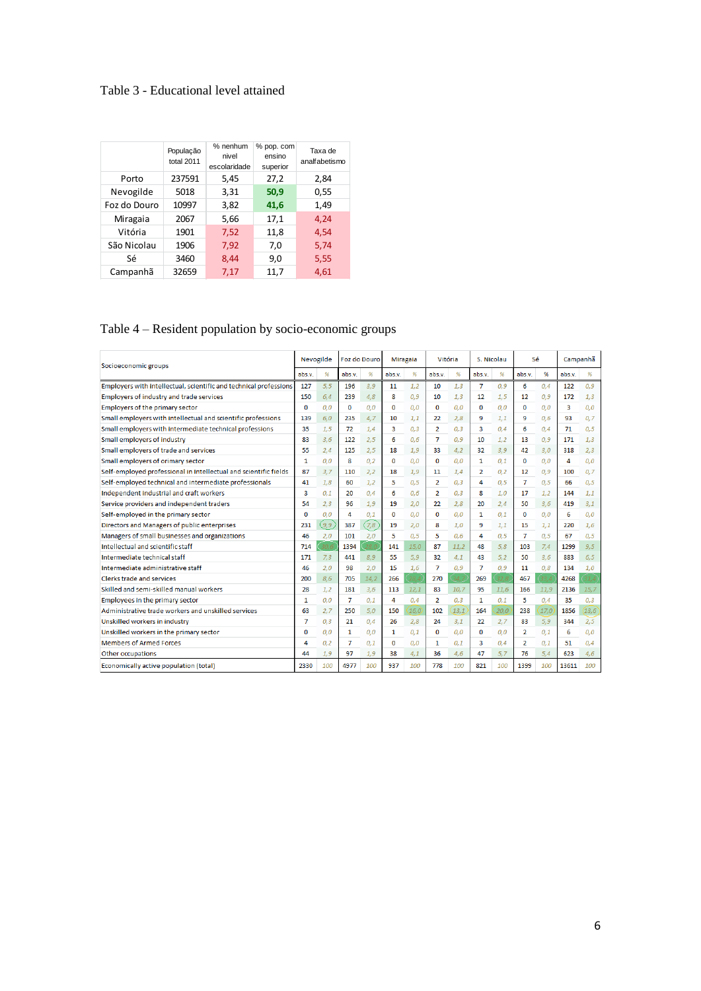## Table 3 - Educational level attained

|              | População<br>total 2011 | % nenhum<br>nivel<br>escolaridade | % pop. com<br>ensino<br>superior | Taxa de<br>analfabetismo |
|--------------|-------------------------|-----------------------------------|----------------------------------|--------------------------|
| Porto        | 237591                  | 5,45                              | 27,2                             | 2,84                     |
| Nevogilde    | 5018                    | 3,31                              | 50,9                             | 0,55                     |
| Foz do Douro | 10997                   | 3,82                              | 41,6                             | 1,49                     |
| Miragaia     | 2067                    | 5,66                              | 17,1                             | 4,24                     |
| Vitória      | 1901                    | 7,52                              | 11,8                             | 4,54                     |
| São Nicolau  | 1906                    | 7,92                              | 7,0                              | 5,74                     |
| Sé           | 3460                    | 8,44                              | 9,0                              | 5,55                     |
| Campanhã     | 32659                   | 7,17                              | 11,7                             | 4,61                     |

## Table 4 – Resident population by socio-economic groups

| Socioeconomic groups                                              |              | Nevogilde |             | Foz do Douro |              | <b>Miragaia</b> |                | Vitória |                | S. Nicolau |                | Sé   |        | Campanhã |  |
|-------------------------------------------------------------------|--------------|-----------|-------------|--------------|--------------|-----------------|----------------|---------|----------------|------------|----------------|------|--------|----------|--|
|                                                                   |              | 96        | abs.v.      | 96           | abs.v.       | %               | abs.v.         | %       | abs.v.         | 96         | abs.v.         | %    | abs.v. | 96       |  |
| Employers with intellectual, scientific and technical professions | 127          | 5.5       | 196         | 3.9          | 11           | 1.2             | 10             | 1.3     | 7              | 0.9        | 6              | 0.4  | 122    | 0.9      |  |
| Employers of industry and trade services                          | 150          | 6.4       | 239         | 4,8          | 8            | 0.9             | 10             | 1,3     | 12             | 1,5        | 12             | 0.9  | 172    | 1.3      |  |
| Employers of the primary sector                                   | 0            | 0.0       | $\mathbf 0$ | 0.0          | 0            | 0.0             | $\mathbf 0$    | 0.0     | $\bf{0}$       | 0.0        | $\bf{0}$       | 0.0  | 3      | 0.0      |  |
| Small employers with intellectual and scientific professions      | 139          | 6.0       | 235         | 4,7          | 10           | 1.1             | 22             | 2.8     | 9              | 1,1        | 9              | 0.6  | 93     | 0.7      |  |
| Small employers with intermediate technical professions           | 35           | 1.5       | 72          | 1.4          | 3            | 0.3             | $\overline{2}$ | 0.3     | 3              | 0.4        | 6              | 0.4  | 71     | 0.5      |  |
| Small employers of industry                                       | 83           | 3.6       | 122         | 2.5          | 6            | 0.6             | 7              | 0.9     | 10             | 1.2        | 13             | 0.9  | 171    | 1.3      |  |
| Small employers of trade and services                             | 55           | 2,4       | 125         | 2,5          | 18           | 1,9             | 33             | 4,2     | 32             | 3,9        | 42             | 3,0  | 318    | 2,3      |  |
| Small employers of orimary sector                                 | 1            | 0.0       | 8           | 0.2          | 0            | 0.0             | 0              | 0.0     | 1              | 0.1        | 0              | 0.0  | 4      | 0.0      |  |
| Self-employed professional in Intellectual and scientific fields  | 87           | 3.7       | 110         | 2,2          | 18           | 1.9             | 11             | 1.4     | 2              | 0,2        | 12             | 0.9  | 100    | 0.7      |  |
| Self-employed technical and intermediate professionals            | 41           | 1.8       | 60          | 1.2          | 5            | 0.5             | $\overline{2}$ | 0.3     | 4              | 0.5        | 7              | 0.5  | 66     | 0.5      |  |
| Independent industrial and craft workers                          | 3            | 0.1       | 20          | 0.4          | 6            | 0.6             | $\overline{2}$ | 0.3     | 8              | 1,0        | 17             | 1,2  | 144    | 1.1      |  |
| Service providers and independent traders                         | 54           | 2.3       | 96          | 1.9          | 19           | 2.0             | 22             | 2.8     | 20             | 2,4        | 50             | 3.6  | 419    | 3.1      |  |
| Self-employed in the primary sector                               | $\Omega$     | 0.0       | 4           | 0.1          | $\mathbf{0}$ | 0.0             | $\mathbf{0}$   | 0.0     | 1              | 0.1        | $\Omega$       | 0.0  | 6      | 0.0      |  |
| Directors and Managers of public enterprises                      | 231          | (و,و      | 387         | (7,8)        | 19           | 2,0             | 8              | 1,0     | 9              | 1,1        | 15             | 1,1  | 220    | 1,6      |  |
| Managers of small businesses and organizations                    | 46           | 2.0       | 101         | 2.0          | 5            | 0.5             | 5              | 0.6     | 4              | 0.5        | $\overline{7}$ | 0.5  | 67     | 0.5      |  |
| Intellectual and scientific staff                                 | 714          | 30.6      | 1394        | 28/          | 141          | 15.0            | 87             | 11.2    | 48             | 5.8        | 103            | 7,4  | 1299   | 9.5      |  |
| Intermediate technical staff                                      | 171          | 7,3       | 441         | 8,9          | 55           | 5,9             | 32             | 4,1     | 43             | 5,2        | 50             | 3,6  | 883    | 6,5      |  |
| Intermediate administrative staff                                 | 46           | 2,0       | 98          | 2,0          | 15           | 1,6             | $\overline{7}$ | 0.9     | $\overline{7}$ | 0.9        | 11             | 0.8  | 134    | 1,0      |  |
| Clerks trade and services                                         | 200          | 8.6       | 705         | 14,2         | 266          | 28A             | 270            | 34,7    | 269            | 32.8       | 467            | 33.  | 4268   |          |  |
| Skilled and semi-skilled manual workers                           | 28           | 1.2       | 181         | 3.6          | 113          | 12.1            | 83             | 10.7    | 95             | 11.6       | 166            | 11.9 | 2136   | 15,7     |  |
| Employees in the primary sector                                   | 1            | 0.0       | 7           | 0.1          | 4            | 0.4             | $\overline{2}$ | 0.3     | 1.             | 0.1        | 5              | 0.4  | 35     | 0.3      |  |
| Administrative trade workers and unskilled services               | 63           | 2,7       | 250         | 5,0          | 150          | 16,0            | 102            | 13,1    | 164            | 20,0       | 238            | 17,0 | 1856   | 13,6     |  |
| Unskilled workers in industry                                     | 7            | 0,3       | 21          | 0,4          | 26           | 2,8             | 24             | 3,1     | 22             | 2.7        | 83             | 5,9  | 344    | 2.5      |  |
| Unskilled workers in the primary sector                           | $\mathbf{0}$ | 0.0       | 1           | 0.0          | 1            | 0.1             | 0              | 0.0     | 0              | 0.0        | 2              | 0.1  | 6      | 0.0      |  |
| <b>Members of Armed Forces</b>                                    | 4            | 0.2       | 7           | 0.1          | $\Omega$     | 0.0             | 1              | 0.1     | 3              | 0.4        | $\overline{2}$ | 0.1  | 51     | 0.4      |  |
| Other occupations                                                 | 44           | 1,9       | 97          | 1,9          | 38           | 4,1             | 36             | 4,6     | 47             | 5,7        | 76             | 5,4  | 623    | 4,6      |  |
| Economically active population (total)                            | 2330         | 100       | 4977        | 100          | 937          | 100             | 778            | 100     | 821            | 100        | 1399           | 100  | 13611  | 100      |  |